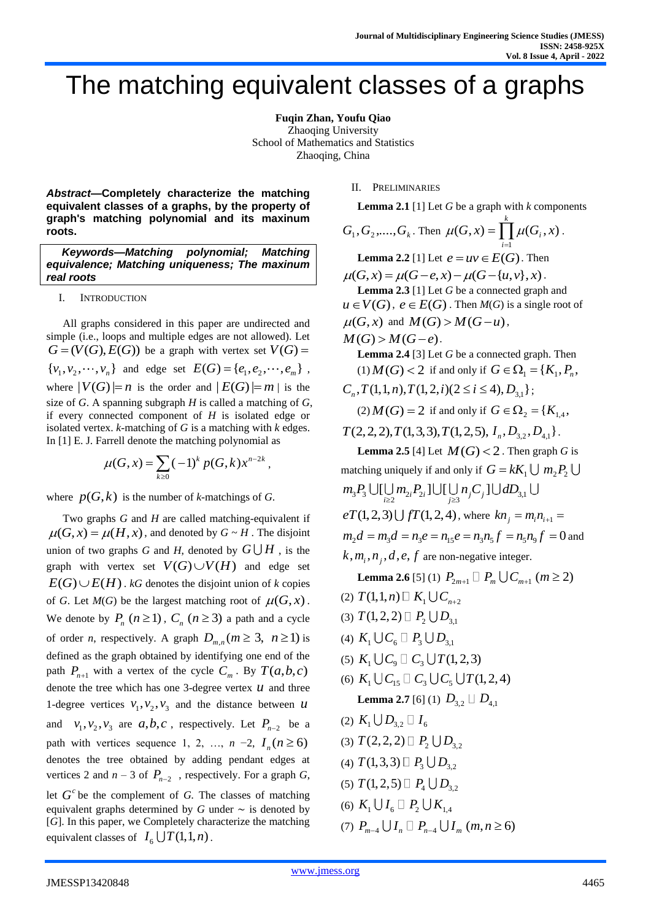## The matching equivalent classes of a graphs

**Fuqin Zhan, Youfu Qiao** Zhaoqing University School of Mathematics and Statistics Zhaoqing, China

*Abstract***—Completely characterize the matching equivalent classes of a graphs, by the property of graph's matching polynomial and its maxinum roots.**

*Keywords—Matching polynomial; Matching equivalence; Matching uniqueness; The maxinum real roots*

## I. INTRODUCTION

All graphs considered in this paper are undirected and simple (i.e., loops and multiple edges are not allowed). Let  $G = (V(G), E(G))$  be a graph with vertex set  $V(G)$  =  $\{v_1, v_2, \dots, v_n\}$  and edge set  $E(G) = \{e_1, e_2, \dots, e_m\}$ , where  $|V(G)| = n$  is the order and  $|E(G)| = m$  is the size of *G*. A spanning subgraph *H* is called a matching of *G*, if every connected component of *H* is isolated edge or isolated vertex. *k*-matching of *G* is a matching with *k* edges. In [1] E. J. Farrell denote the matching polynomial as

$$
\mu(G, x) = \sum_{k \geq 0} (-1)^k p(G, k) x^{n-2k},
$$

where  $p(G, k)$  is the number of *k*-matchings of *G*.

Two graphs *G* and *H* are called matching-equivalent if  $\mu(G, x) = \mu(H, x)$ , and denoted by  $G \sim H$ . The disjoint union of two graphs *G* and *H*, denoted by  $G \cup H$ , is the graph with vertex set  $V(G) \cup V(H)$  and edge set  $E(G) \cup E(H)$ . *kG* denotes the disjoint union of *k* copies of *G*. Let  $M(G)$  be the largest matching root of  $\mu(G, x)$ . We denote by  $P_n$   $(n \ge 1)$ ,  $C_n$   $(n \ge 3)$  a path and a cycle of order *n*, respectively. A graph  $D_{m,n}$   $(m \geq 3, n \geq 1)$  is defined as the graph obtained by identifying one end of the path  $P_{n+1}$  with a vertex of the cycle  $C_m$ . By  $T(a,b,c)$ denote the tree which has one 3-degree vertex  $u$  and three 1-degree vertices  $v_1, v_2, v_3$  and the distance between u and  $v_1, v_2, v_3$  are  $a, b, c$ , respectively. Let  $P_{n-2}$  be a path with vertices sequence 1, 2, ...,  $n-2$ ,  $I_n(n \ge 6)$ denotes the tree obtained by adding pendant edges at vertices 2 and  $n-3$  of  $P_{n-2}$ , respectively. For a graph *G*, let  $G^c$  be the complement of  $G$ . The classes of matching equivalent graphs determined by *G* under ∼ is denoted by [*G*]. In this paper, we Completely characterize the matching

II. PRELIMINARIES

**Lemma 2.1** [1] Let *G* be a graph with *k* components

 $G_1, G_2, \ldots, G_k$ . Then  $\mu(G, x) = \prod_{i=1}^k$ *k i*  $\mu(G, x) = \prod \mu(G_i, x)$ . 1 **Lemma 2.2** [1] Let  $e = uv \in E(G)$ . Then  $\mu(G, x) = \mu(G-e, x) - \mu(G - \{u, v\}, x)$ . **Lemma 2.3** [1] Let *G* be a connected graph and  $u \in V(G)$ ,  $e \in E(G)$ . Then  $M(G)$  is a single root of  $\mu(G, x)$  and  $M(G) > M(G-u)$ ,  $M(G) > M(G-e)$ . **Lemma 2.4** [3] Let *G* be a connected graph. Then  $(1) M(G) < 2$  if and only if  $G \in \Omega_1 = \{K_1, P_n, K_2\}$  $C_n, T(1,1,n), T(1,2,i)$  $(2 \le i \le 4), D_{3,1}$ ;  $(2) M(G) = 2$  if and only if (2)  $M(G) = 2$  if and only if  $G \in \Omega_2 = \{K_{1,4}, K(2,2,2), T(1,3,3), T(1,2,5), I_n, D_{3,2}, D_{4,1}\}.$ **Lemma 2.5** [4] Let  $M(G) < 2$ . Then graph *G* is matching uniquely if and only if  $G = kK_1 \cup m_2P_2$ matching uniquely if and only if  $G = kK_1$ <br>  $m_3 P_3 \cup [\bigcup_{i \ge 2} m_{2i} P_{2i}] \cup [\bigcup_{j \ge 3} n_j C_j] \cup dD_{3,1}$  $m_3 P_3 \bigcup \bigcup_{i \geq 2} m_{2i} P_{2i} \bigcup \bigcup_{j \geq 3} n_j C_j \big]$ <br>*eT*(1,2,3) $\bigcup fT(1,2,4)$ , where  $kn_{j} = m_{i} n_{i+1} =$  $m_2 d = m_3 d = n_3 e = n_{15} e = n_3 n_5 f = n_5 n_9 f = 0$  and  $k, m_i, n_j, d, e, f$  are non-negative integer. **Lemma 2.6** [5] (1)  $P_{2m+1} \Box P_m \cup C_{m+1}$   $(m \ge 2)$ (2)  $T(1,1,n) \square K_1 \cup C_{n+2}$ (3)  $T(1, 2, 2) \square P_2 \cup D_{3,1}$ (4)  $K_1 \cup C_6 \Box P_3 \cup D_{3,1}$ (5)  $K_1 \cup C_9 \square C_3 \cup T(1,2,3)$ (6)  $K_1 \cup C_{15} \square C_3 \cup C_5 \cup T(1,2,4)$ **Lemma 2.7** [6] (1)  $D_{3,2} \Box D_{4,1}$ (2)  $K_1 \bigcup D_{3,2} \Box I_6$ (3)  $T(2,2,2) \square P_2 \cup D_{3,2}$ (4)  $T(1,3,3) \square P_3 \cup D_{3,2}$ (5)  $T(1,2,5)$   $\Box$   $P_4 \cup D_{3,2}$ (6)  $K_1 \cup I_6 \sqcup P_2 \cup K_{1,4}$ (7)  $P_{m-4} \cup I_n \square P_{n-4} \cup I_m$  (*m*, *n*  $\geq$  6)

equivalent classes of  $I_6 \cup T(1,1,n)$ .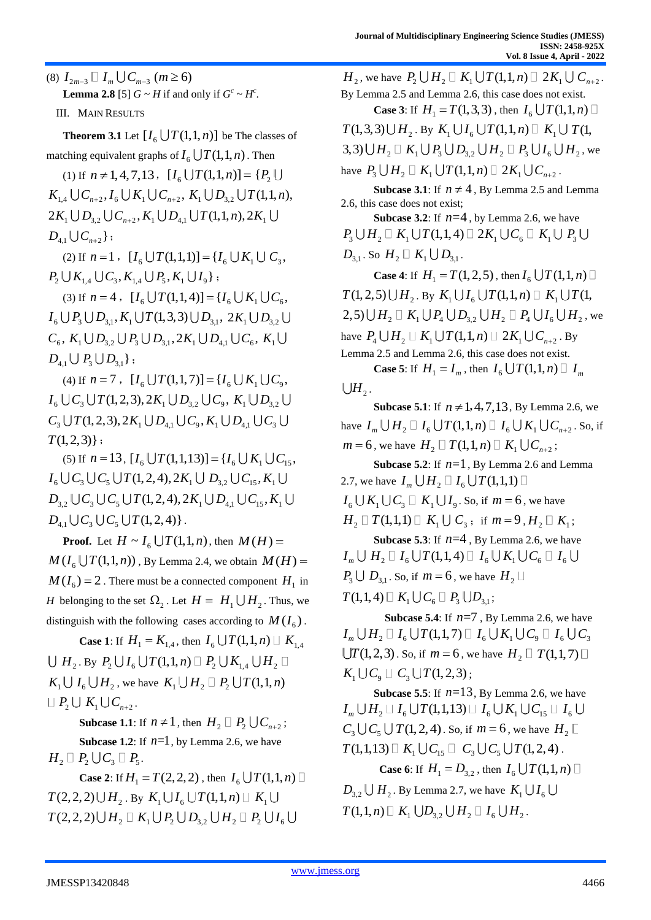$(8) I_{2m-3} \sqcup I_m \bigcup C_{m-3}$   $(m \ge 6)$ 

**Lemma 2.8** [5]  $G \sim H$  if and only if  $G^c \sim H^c$ .

III. MAIN RESULTS

**Theorem 3.1** Let  $[I_6 \cup T(1,1,n)]$  be The classes of matching equivalent graphs of  $I_{\epsilon} \bigcup T(1,1,n)$  . Then

(1) If  $n \neq 1, 4, 7, 13$ ,  $[I_6 \cup T(1,1,n)] = \{P_2\}$  $K_{1,4} \bigcup C_{n+2}, I_6 \bigcup K_1 \bigcup C_{n+2}, K_1 \bigcup D_3 \bigcup T(1,1,n),$  $2K_1 \bigcup D_{3,2} \bigcup C_{n+2}, K_1 \bigcup D_{4,1} \bigcup T(1,1,n), 2K_1 \bigcup$  $D_{41} \cup C_{n+2}$ ;

(2) If  $n = 1$ ,  $[I_6 \cup T(1,1,1)] = \{I_6 \cup K_1 \cup C_3,$  $P_2 \bigcup K_{14} \bigcup C_3, K_{14} \bigcup P_5, K_1 \bigcup I_9$ ;

(3) If  $n = 4$ ,  $[I_6 \cup T(1,1,4)] = \{I_6 \cup K_1 \cup C_6$ ,  $I_6 \bigcup P_3 \bigcup D_{31}, K_1 \bigcup T(1,3,3) \bigcup D_{31}, 2K_1 \bigcup D_{3}$  $C_{6}$  ,  $K_{1} \bigcup D_{3,2} \bigcup P_{3} \bigcup D_{3,1}$  ,  $2K_{1} \bigcup D_{4,1} \bigcup C_{6}$  ,  $K_{1}$  $D_{4,1} \cup P_3 \cup D_{3,1}$ ;

(4) If  $n = 7$ ,  $[I_6 \cup T(1,1,7)] = \{I_6 \cup K_1 \cup C_9$ ,  $I_6 \bigcup C_3 \bigcup T(1, 2, 3), 2K_1 \bigcup D_3, \bigcup C_9, K_1 \bigcup D_3, \bigcup$  $C_3 \bigcup T(1,2,3), 2K_1 \bigcup D_{4,1} \bigcup C_9, K_1 \bigcup D_{4,1} \bigcup C_3 \bigcup$ *T*(1,2,3)};

(5) If  $n = 13$ ,  $[I_6 \cup T(1,1,13)] = \{I_6 \cup K_1 \cup C_{15},$  $I_6 \bigcup C_3 \bigcup C_5 \bigcup T(1,2,4), 2K_1 \bigcup D_3, \bigcup C_{15}, K_1 \bigcup$  $D_3, \bigcup C_3 \bigcup C_5 \bigcup T(1, 2, 4), 2K_1 \bigcup D_{4,1} \bigcup C_{15}, K_1 \bigcup$  $D_{4,1} \bigcup C_3 \bigcup C_5 \bigcup T(1, 2, 4) \}.$ 

**Proof.** Let  $H \sim I_6 \cup T(1,1,n)$ , then  $M(H)$  =  $M(I_{_6}{\bigcup T(1,1,n)})$  , By Lemma 2.4, we obtain  $M(H)$  =  $M(I_6) = 2$ . There must be a connected component  $H_1$  in *H* belonging to the set  $\Omega_2$ . Let  $H = H_1 \bigcup H_2$ . Thus, we distinguish with the following cases according to  $M(I_6)$ . 39  $I_{2n-1} \sqcup I_n \sqcup C_{n-2}$  (*m* ≥ 6)<br>
LILL MAIN RESUGES<br>
Theorem 3.1 Let  $|I_{\delta} \sqcup T(1,n,1)|$  is the classes of<br>
TCO II *n*  $n \neq 1$ ,  $\{1, 2, 1, 3, 1\}$  (1)  $T(1, 1, n)$ . Then<br>
(1)  $1 \leq h_{i, 1} \leq h_{i, 2} \leq h_{i, 1} \leq h_{i, 2}$ 

**Case 1**: If  $H_1 = K_{1,4}$ , then  $I_6 \cup T(1,1,n) \square K_{1,4}$  $H_2$ . By  $P_2 \bigcup I_6 \bigcup T(1,1,n) \square P_2 \bigcup K_{1,4} \bigcup H_2$  $K_1 \cup I_6 \cup H_2$  , we have  $K_1 \cup H_2 \sqcup P_2 \cup T(1,1,n)$  $P_2 \cup K_1 \cup C_{n+2}$ .

**Subcase 1.1**: If  $n \neq 1$ , then  $H_2 \square P_2 \cup C_{n+2}$ ; **Subcase 1.2:** If  $n=1$ , by Lemma 2.6, we have  $H_2 \mathbb{D} P_2 \cup C_3 \mathbb{D} P_5.$ 

**Case 2:** If  $H_1 = T(2, 2, 2)$ , then  $I_6 \cup T(1, 1, n)$  $T(2,2,2)\bigcup H_{2}$ . By  $K_{1}\bigcup I_{6}\bigcup T(1,1,n)\square K_{1}$ 

, we have  $P_2 \cup H_2 \sqcup K_1 \cup T(1,1,n) \sqcup 2K_1 \cup C_{n+2}$ . By Lemma 2.5 and Lemma 2.6, this case does not exist. **Case 3:** If  $H_1 = T(1,3,3)$ , then  $I_6 \cup T(1,1,n)$  $T(1,3,3) \cup H_2$ . By  $K_1 \cup I_6 \cup T(1,1,n) \square K_1 \cup T(1,1)$  $(3, 3) \bigcup H_{2} \sqcup K_{1} \bigcup P_{3} \bigcup D_{3,2} \bigcup H_{2} \sqcup P_{3} \bigcup I_{6} \bigcup H_{2}$ , we have  $P_3 \cup H_2 \sqcup K_1 \cup T(1,1,n) \sqcup 2K_1 \cup C_{n+2}$ .

**Subcase 3.1**: If  $n \neq 4$ , By Lemma 2.5 and Lemma 2.6, this case does not exist;

**Subcase 3.2**: If  $n=4$ , by Lemma 2.6, we have  $P_3 \bigcup H_2 \square K_1 \bigcup T(1,1,4) \square 2K_1 \bigcup C_6 \square K_1 \bigcup P_3 \bigcup$  $D_{3,1}$ . So  $H_2 \square K_1 \bigcup D_{3,1}$ .

**Case 4**: If  $H_1 = T(1, 2, 5)$ , then  $I_6 \cup T(1, 1, n)$  $T(1,2,5) \bigcup H_2$ . By  $K_1 \bigcup I_6 \bigcup T(1,1,n) \square K_1 \bigcup T(1,1,n)$  $(2, 5) \bigcup H_{2} \ \Box \ K_{1} \bigcup P_{4} \bigcup D_{3,2} \bigcup H_{2} \ \Box \ P_{4} \bigcup I_{6} \bigcup H_{2}$  , we have  $P_4 \cup H_2 \square K_1 \cup T(1,1,n) \square 2K_1 \cup C_{n+2}$ . By Lemma 2.5 and Lemma 2.6, this case does not exist.

**Case 5:** If  $H_1 = I_m$ , then  $I_6 \cup T(1,1,n) \square I_m$  $H_{2}$ .

**Subcase 5.1**: If  $n \neq 1, 4, 7, 13$ , By Lemma 2.6, we have  $I_m \cup H_2 \square I_6 \cup T(1,1,n) \square I_6 \cup K_1 \cup C_{n+2}$ . So, if  $m = 6$  , we have  $H_2 \sqcup T(1,1,n) \sqcup K_1 \bigcup C_{n+2}$ ;

**Subcase 5.2:** If  $n=1$ , By Lemma 2.6 and Lemma 2.7, we have  $I_m \bigcup H_2 \square I_6 \bigcup T(1,1,1)$  $I_6 \cup K_1 \cup C_3 \square K_1 \cup I_9$ . So, if  $m = 6$ , we have  $H_2 \square T(1,1,1) \square K_1 \cup C_3$ ; if  $m = 9, H_2 \square K_1$ ;

**Subcase 5.3**: If  $n=4$ , By Lemma 2.6, we have  $I_{_m} \cup H_{_2} \sqcup I_{_6} \cup T(1,1,4) \sqcup I_{_6} \cup K_{_1} \cup C_{_6} \sqcup I_{_6}$  $P_3 \cup D_{3,1}$ . So, if  $m = 6$ , we have  $H_2$  $T(1,1,4)\ \Box\ K_{_{1}}\bigcup C_{_{6}} \ \Box\ P_{_{3}}\bigcup D_{_{3,1}};$ 

**Subcase 5.4:** If  $n=7$ , By Lemma 2.6, we have  $I_m \cup H_2 \mathbin{\square} I_6 \cup T(1,1,7) \mathbin{\square} I_6 \cup K_1 \cup C_9 \mathbin{\square} I_6 \cup C_3$  $T(1, 2, 3)$ . So, if  $m = 6$ , we have  $H_2 \square T(1, 1, 7)$  $K_1 \cup C_9 \Box C_3 \cup T(1,2,3);$ 

**Subcase 5.5:** If  $n=13$ , By Lemma 2.6, we have  $I_m \cup H_2 \square I_6 \cup T(1,1,13) \square I_6 \cup K_1 \cup C_{15} \square I_6$  $C_3 \bigcup C_5 \bigcup T(1,2,4)$ . So, if  $m = 6$ , we have  $H_2$  $T(1,1,13) \square K_1 \bigcup C_{15} \square C_2 \bigcup C_5 \bigcup T(1,2,4)$ .

**Case 6:** If  $H_1 = D_{3,2}$ , then  $I_6 \cup T(1,1,n)$ 

 $D_{3,2} \cup H_2$  . By Lemma 2.7, we have  $K_1 \cup I_6$  $T(1,1,n)\sqcup K_{_{1}}\bigcup D_{_{3,2}}\bigcup H_{_{2}}\sqcup I_{_{6}}\bigcup H_{_{2}}$  .